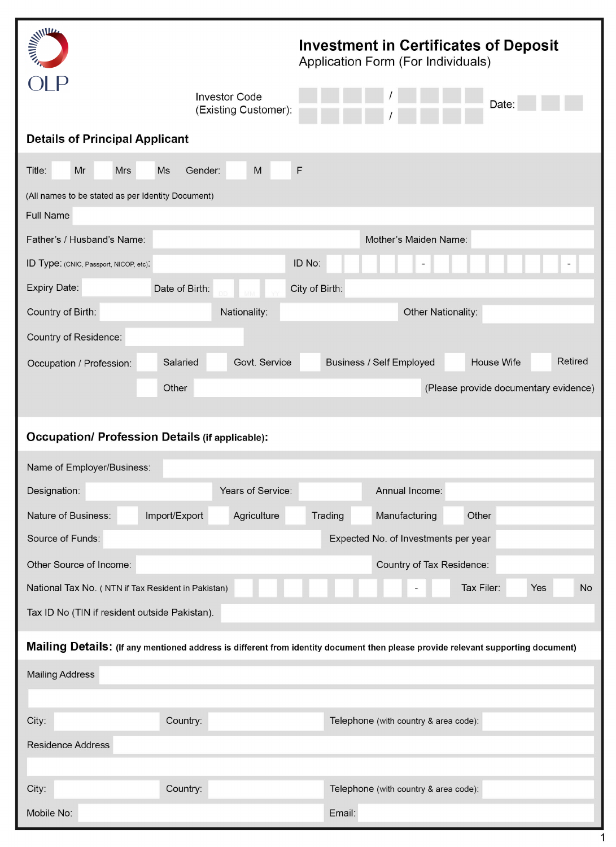| <b>MARKETTER</b>                                                                                                                 | <b>Investment in Certificates of Deposit</b><br>Application Form (For Individuals) |  |  |  |  |  |
|----------------------------------------------------------------------------------------------------------------------------------|------------------------------------------------------------------------------------|--|--|--|--|--|
| <b>Investor Code</b><br>(Existing Customer):                                                                                     | Date:                                                                              |  |  |  |  |  |
| <b>Details of Principal Applicant</b>                                                                                            |                                                                                    |  |  |  |  |  |
| Mr<br>M<br>Title:<br><b>Mrs</b><br><b>Ms</b><br>Gender:                                                                          | F                                                                                  |  |  |  |  |  |
| (All names to be stated as per Identity Document)                                                                                |                                                                                    |  |  |  |  |  |
| Full Name                                                                                                                        |                                                                                    |  |  |  |  |  |
| Father's / Husband's Name:                                                                                                       | Mother's Maiden Name:                                                              |  |  |  |  |  |
| ID Type: (CNIC, Passport, NICOP, etc).                                                                                           | ID No:                                                                             |  |  |  |  |  |
| Expiry Date:<br>Date of Birth:                                                                                                   | City of Birth:                                                                     |  |  |  |  |  |
| Country of Birth:<br>Nationality:                                                                                                | Other Nationality:                                                                 |  |  |  |  |  |
| Country of Residence:                                                                                                            |                                                                                    |  |  |  |  |  |
| Salaried<br>Govt. Service<br>Occupation / Profession:                                                                            | Retired<br>House Wife<br>Business / Self Employed                                  |  |  |  |  |  |
| Other                                                                                                                            | (Please provide documentary evidence)                                              |  |  |  |  |  |
|                                                                                                                                  |                                                                                    |  |  |  |  |  |
| <b>Occupation/ Profession Details (if applicable):</b>                                                                           |                                                                                    |  |  |  |  |  |
|                                                                                                                                  |                                                                                    |  |  |  |  |  |
| Name of Employer/Business:                                                                                                       |                                                                                    |  |  |  |  |  |
| Years of Service:<br>Designation:                                                                                                | Annual Income:                                                                     |  |  |  |  |  |
| Nature of Business:<br>Import/Export<br>Agriculture                                                                              | Trading<br>Manufacturing<br>Other                                                  |  |  |  |  |  |
|                                                                                                                                  | Source of Funds:<br>Expected No. of Investments per year                           |  |  |  |  |  |
| Other Source of Income:                                                                                                          | Country of Tax Residence:                                                          |  |  |  |  |  |
| National Tax No. (NTN if Tax Resident in Pakistan)                                                                               | Tax Filer:<br>Yes<br><b>No</b>                                                     |  |  |  |  |  |
| Tax ID No (TIN if resident outside Pakistan).                                                                                    |                                                                                    |  |  |  |  |  |
| Mailing Details: (If any mentioned address is different from identity document then please provide relevant supporting document) |                                                                                    |  |  |  |  |  |
| <b>Mailing Address</b>                                                                                                           |                                                                                    |  |  |  |  |  |
|                                                                                                                                  |                                                                                    |  |  |  |  |  |
| Country:<br>City:                                                                                                                | Telephone (with country & area code):                                              |  |  |  |  |  |
| <b>Residence Address</b>                                                                                                         |                                                                                    |  |  |  |  |  |
|                                                                                                                                  |                                                                                    |  |  |  |  |  |
| Country:<br>City:                                                                                                                | Telephone (with country & area code):                                              |  |  |  |  |  |
| Mobile No:                                                                                                                       | Email:                                                                             |  |  |  |  |  |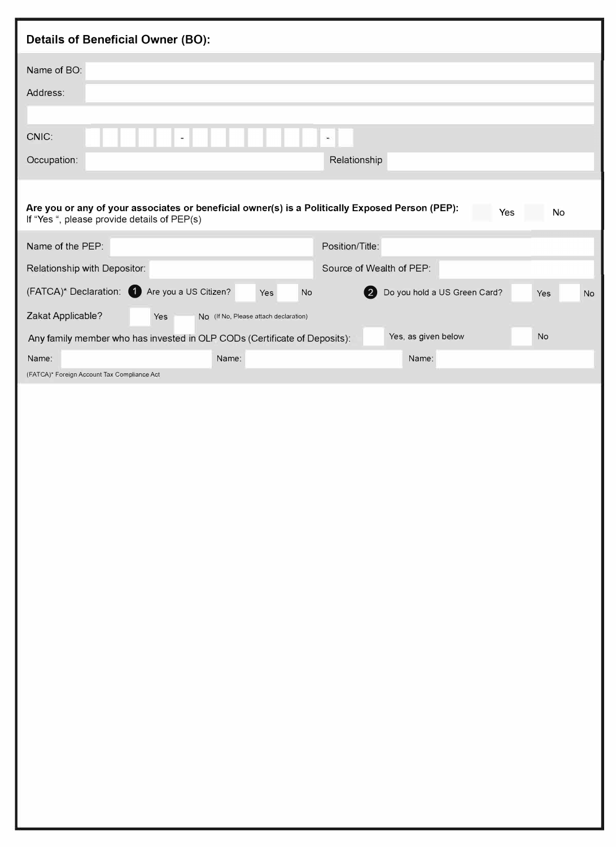| <b>Details of Beneficial Owner (BO):</b>                                                                                                       |                                                         |
|------------------------------------------------------------------------------------------------------------------------------------------------|---------------------------------------------------------|
| Name of BO:                                                                                                                                    |                                                         |
| Address:                                                                                                                                       |                                                         |
|                                                                                                                                                |                                                         |
| CNIC:<br>۰                                                                                                                                     | $\frac{1}{2}$                                           |
| Occupation:                                                                                                                                    | Relationship                                            |
|                                                                                                                                                |                                                         |
| Are you or any of your associates or beneficial owner(s) is a Politically Exposed Person (PEP):<br>If "Yes ", please provide details of PEP(s) | Yes<br>No                                               |
| Name of the PEP:                                                                                                                               | Position/Title:                                         |
| Relationship with Depositor:                                                                                                                   | Source of Wealth of PEP:                                |
| Are you a US Citizen?<br>(FATCA)* Declaration:<br>Yes<br>No                                                                                    | Do you hold a US Green Card?<br><b>No</b><br>【2】<br>Yes |
| Zakat Applicable?<br>Yes<br>No (If No, Please attach declaration)                                                                              |                                                         |
| Any family member who has invested in OLP CODs (Certificate of Deposits):                                                                      | Yes, as given below<br>No                               |
| Name:<br>Name:<br>(FATCA)* Foreign Account Tax Compliance Act                                                                                  | Name:                                                   |
|                                                                                                                                                |                                                         |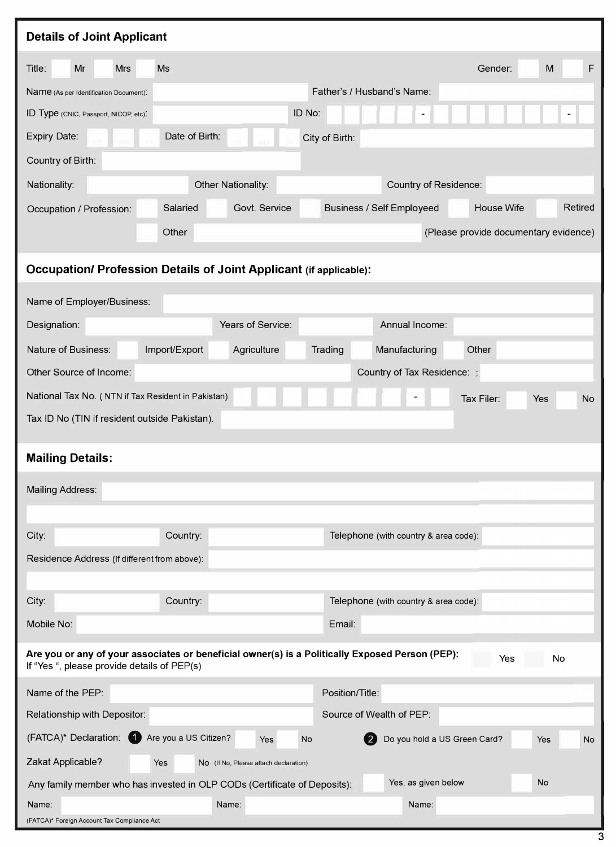| <b>Details of Joint Applicant</b>                  |                                                                                                 |                                       |                                       |
|----------------------------------------------------|-------------------------------------------------------------------------------------------------|---------------------------------------|---------------------------------------|
| Mr<br>Title:<br><b>Mrs</b>                         | <b>Ms</b>                                                                                       |                                       | M<br>F<br>Gender:                     |
| Name (As per Identification Document).             |                                                                                                 | Father's / Husband's Name:            |                                       |
| ID Type (CNIC, Passport, NICOP, etc).              | ID No:                                                                                          |                                       |                                       |
| Expiry Date:                                       | Date of Birth:                                                                                  | City of Birth:                        |                                       |
| Country of Birth:                                  |                                                                                                 |                                       |                                       |
| Nationality:                                       | Other Nationality:                                                                              | Country of Residence:                 |                                       |
| Occupation / Profession:                           | Salaried<br>Govt. Service                                                                       | Business / Self Employeed             | Retired<br>House Wife                 |
|                                                    | Other                                                                                           |                                       | (Please provide documentary evidence) |
|                                                    | <b>Occupation/ Profession Details of Joint Applicant (if applicable):</b>                       |                                       |                                       |
| Name of Employer/Business:                         |                                                                                                 |                                       |                                       |
| Designation:                                       | Years of Service:                                                                               | Annual Income:                        |                                       |
| Nature of Business:                                | Import/Export<br>Agriculture                                                                    | Trading<br>Manufacturing              | Other                                 |
| Other Source of Income:                            |                                                                                                 | Country of Tax Residence:             |                                       |
| National Tax No. (NTN if Tax Resident in Pakistan) |                                                                                                 |                                       | Tax Filer:<br><b>No</b><br>Yes        |
| Tax ID No (TIN if resident outside Pakistan).      |                                                                                                 |                                       |                                       |
|                                                    |                                                                                                 |                                       |                                       |
| <b>Mailing Details:</b>                            |                                                                                                 |                                       |                                       |
| <b>Mailing Address:</b>                            |                                                                                                 |                                       |                                       |
|                                                    |                                                                                                 |                                       |                                       |
| City:                                              | Country:                                                                                        | Telephone (with country & area code): |                                       |
| Residence Address (If different from above):       |                                                                                                 |                                       |                                       |
|                                                    |                                                                                                 |                                       |                                       |
| City:                                              | Country:                                                                                        | Telephone (with country & area code): |                                       |
| Mobile No:                                         |                                                                                                 | Email:                                |                                       |
| If "Yes ", please provide details of PEP(s)        | Are you or any of your associates or beneficial owner(s) is a Politically Exposed Person (PEP): |                                       | Yes<br>No                             |
| Name of the PEP:                                   |                                                                                                 | Position/Title:                       |                                       |
| Relationship with Depositor:                       |                                                                                                 | Source of Wealth of PEP:              |                                       |
| (FATCA)* Declaration: 4 Are you a US Citizen?      | Yes<br><b>No</b>                                                                                | Do you hold a US Green Card?          | <b>No</b><br>Yes                      |
| Zakat Applicable?<br>Yes                           | No (If No, Please attach declaration)                                                           |                                       |                                       |
|                                                    | Any family member who has invested in OLP CODs (Certificate of Deposits):                       | Yes, as given below                   | <b>No</b>                             |
| Name:                                              | Name:                                                                                           | Name:                                 |                                       |
| (FATCA)* Foreign Account Tax Compliance Act        |                                                                                                 |                                       |                                       |